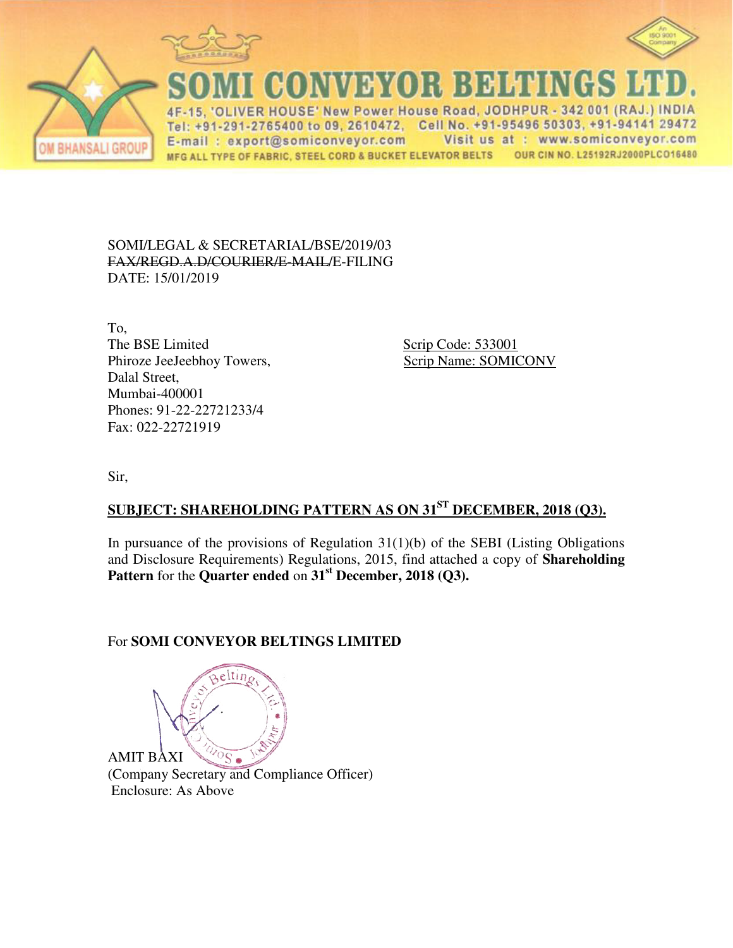



VER HOUSE' New Power House Road, JODHPUR - 342 001 (RAJ.) INDIA Tel: +91-291-2765400 to 09, 2610472, Cell No. +91-95496 50303, +91-94141 29472 E-mail: export@somiconveyor.com Visit us at : www.somiconveyor.com OUR CIN NO. L25192RJ2000PLCO16480 MFG ALL TYPE OF FABRIC, STEEL CORD & BUCKET ELEVATOR BELTS

CONVEYOR BELTINGS

SOMI/LEGAL & SECRETARIAL/BSE/2019/03 FAX/REGD.A.D/COURIER/E-MAIL/E-FILING DATE: 15/01/2019

To, The BSE Limited Scrip Code: 533001 Phiroze JeeJeebhoy Towers, Scrip Name: SOMICONV Dalal Street, Mumbai-400001 Phones: 91-22-22721233/4 Fax: 022-22721919

Sir,

**BHANSALI GROUP** 

## **SUBJECT: SHAREHOLDING PATTERN AS ON 31ST DECEMBER, 2018 (Q3).**

In pursuance of the provisions of Regulation  $31(1)(b)$  of the SEBI (Listing Obligations and Disclosure Requirements) Regulations, 2015, find attached a copy of **Shareholding Pattern** for the **Quarter ended** on **31st December, 2018 (Q3).**

## For **SOMI CONVEYOR BELTINGS LIMITED**

e Itir AMIT BAXI  $\overline{S}$ 

(Company Secretary and Compliance Officer) Enclosure: As Above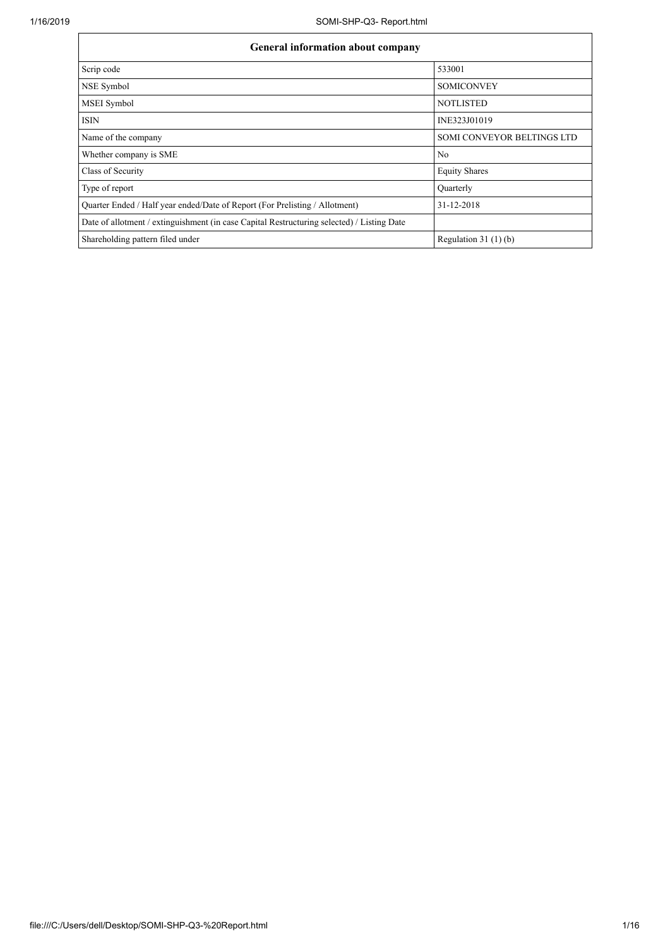| <b>General information about company</b>                                                   |                            |  |  |  |  |  |  |  |
|--------------------------------------------------------------------------------------------|----------------------------|--|--|--|--|--|--|--|
| Scrip code                                                                                 | 533001                     |  |  |  |  |  |  |  |
| NSE Symbol                                                                                 | <b>SOMICONVEY</b>          |  |  |  |  |  |  |  |
| <b>MSEI</b> Symbol                                                                         | <b>NOTLISTED</b>           |  |  |  |  |  |  |  |
| <b>ISIN</b>                                                                                | INE323J01019               |  |  |  |  |  |  |  |
| Name of the company                                                                        | SOMI CONVEYOR BELTINGS LTD |  |  |  |  |  |  |  |
| Whether company is SME                                                                     | N <sub>0</sub>             |  |  |  |  |  |  |  |
| Class of Security                                                                          | <b>Equity Shares</b>       |  |  |  |  |  |  |  |
| Type of report                                                                             | Ouarterly                  |  |  |  |  |  |  |  |
| Quarter Ended / Half year ended/Date of Report (For Prelisting / Allotment)                | 31-12-2018                 |  |  |  |  |  |  |  |
| Date of allotment / extinguishment (in case Capital Restructuring selected) / Listing Date |                            |  |  |  |  |  |  |  |
| Shareholding pattern filed under                                                           | Regulation $31(1)(b)$      |  |  |  |  |  |  |  |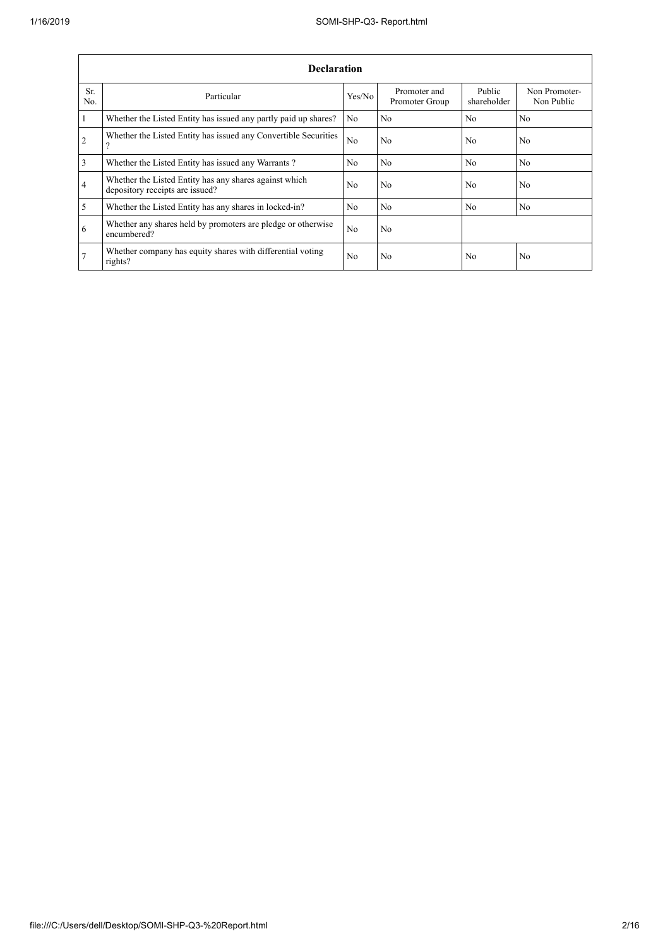$\overline{1}$ 

|                | <b>Declaration</b>                                                                        |                |                                |                       |                             |  |  |  |  |  |
|----------------|-------------------------------------------------------------------------------------------|----------------|--------------------------------|-----------------------|-----------------------------|--|--|--|--|--|
| Sr.<br>No.     | Particular                                                                                | Yes/No         | Promoter and<br>Promoter Group | Public<br>shareholder | Non Promoter-<br>Non Public |  |  |  |  |  |
| $\mathbf{1}$   | Whether the Listed Entity has issued any partly paid up shares?                           | No             | No                             | N <sub>0</sub>        | No                          |  |  |  |  |  |
| $\overline{2}$ | Whether the Listed Entity has issued any Convertible Securities<br>റ                      | N <sub>o</sub> | No                             | N <sub>0</sub>        | No                          |  |  |  |  |  |
| $\overline{3}$ | Whether the Listed Entity has issued any Warrants?                                        | No.            | N <sub>0</sub>                 | No                    | N <sub>o</sub>              |  |  |  |  |  |
| $\overline{4}$ | Whether the Listed Entity has any shares against which<br>depository receipts are issued? | N <sub>o</sub> | No                             | N <sub>0</sub>        | No                          |  |  |  |  |  |
| $\overline{5}$ | Whether the Listed Entity has any shares in locked-in?                                    | N <sub>o</sub> | No                             | N <sub>0</sub>        | N <sub>o</sub>              |  |  |  |  |  |
| 6              | Whether any shares held by promoters are pledge or otherwise<br>encumbered?               | N <sub>o</sub> | No                             |                       |                             |  |  |  |  |  |
| 7              | Whether company has equity shares with differential voting<br>rights?                     | N <sub>0</sub> | No                             | N <sub>0</sub>        | No                          |  |  |  |  |  |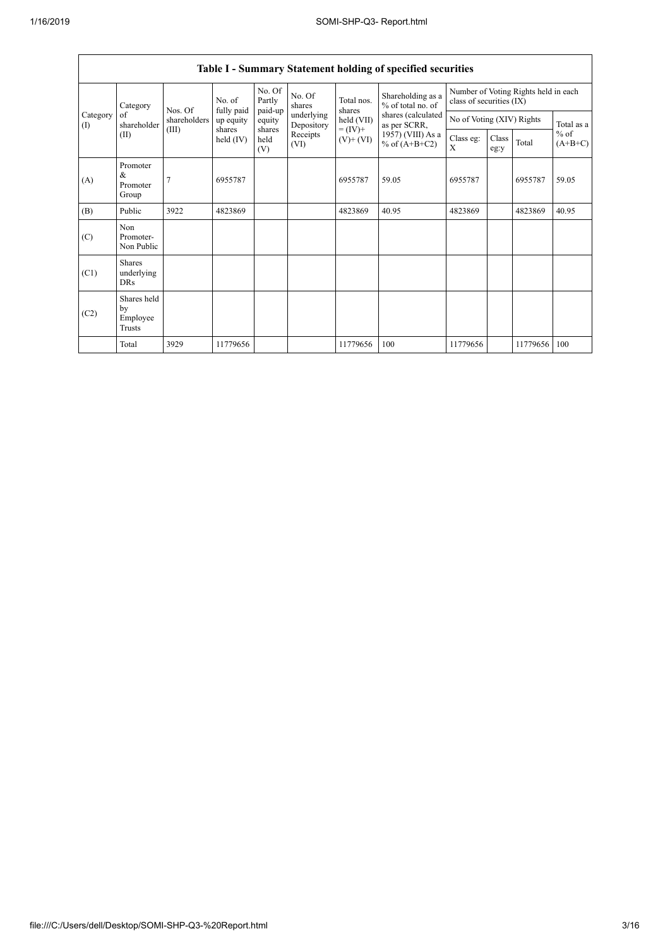| <b>Table I - Summary Statement holding of specified securities</b> |                                           |                |                                                            |                             |                                                                  |                              |                                                                                                                      |                                                                  |               |          |                                   |
|--------------------------------------------------------------------|-------------------------------------------|----------------|------------------------------------------------------------|-----------------------------|------------------------------------------------------------------|------------------------------|----------------------------------------------------------------------------------------------------------------------|------------------------------------------------------------------|---------------|----------|-----------------------------------|
|                                                                    | Category                                  | Nos. Of        | No. of<br>fully paid<br>up equity<br>shares<br>held $(IV)$ | No. Of<br>Partly<br>paid-up | No. Of<br>shares<br>underlying<br>Depository<br>Receipts<br>(VI) | Total nos.<br>shares         | Shareholding as a<br>% of total no. of<br>shares (calculated<br>as per SCRR,<br>1957) (VIII) As a<br>% of $(A+B+C2)$ | Number of Voting Rights held in each<br>class of securities (IX) |               |          |                                   |
| Category<br>$($ $\Gamma$                                           | of<br>shareholder                         | shareholders   |                                                            | equity                      |                                                                  | held (VII)                   |                                                                                                                      | No of Voting (XIV) Rights                                        |               |          | Total as a<br>$%$ of<br>$(A+B+C)$ |
|                                                                    | (II)                                      | (III)          |                                                            | shares<br>held<br>(V)       |                                                                  | $= (IV) +$<br>$(V)$ + $(VI)$ |                                                                                                                      | Class eg:<br>X                                                   | Class<br>eg:y | Total    |                                   |
| (A)                                                                | Promoter<br>$\&$<br>Promoter<br>Group     | $\overline{7}$ | 6955787                                                    |                             |                                                                  | 6955787                      | 59.05                                                                                                                | 6955787                                                          |               | 6955787  | 59.05                             |
| (B)                                                                | Public                                    | 3922           | 4823869                                                    |                             |                                                                  | 4823869                      | 40.95                                                                                                                | 4823869                                                          |               | 4823869  | 40.95                             |
| (C)                                                                | Non<br>Promoter-<br>Non Public            |                |                                                            |                             |                                                                  |                              |                                                                                                                      |                                                                  |               |          |                                   |
| (C1)                                                               | <b>Shares</b><br>underlying<br><b>DRs</b> |                |                                                            |                             |                                                                  |                              |                                                                                                                      |                                                                  |               |          |                                   |
| (C2)                                                               | Shares held<br>by<br>Employee<br>Trusts   |                |                                                            |                             |                                                                  |                              |                                                                                                                      |                                                                  |               |          |                                   |
|                                                                    | Total                                     | 3929           | 11779656                                                   |                             |                                                                  | 11779656                     | 100                                                                                                                  | 11779656                                                         |               | 11779656 | 100                               |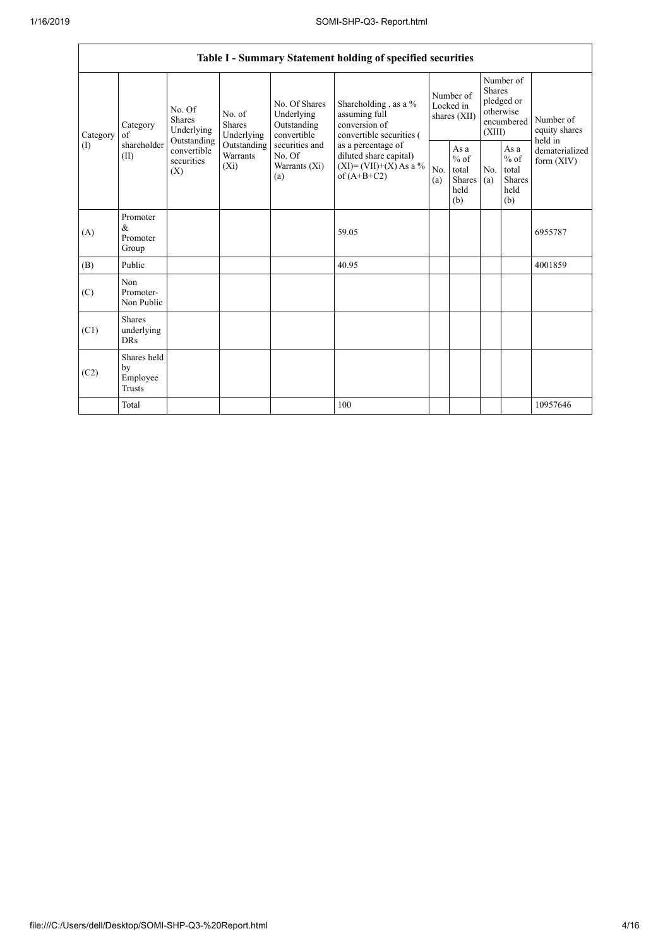| Table I - Summary Statement holding of specified securities |                                                |                                                                                   |                                    |                                                                                                               |                                                                                                                                                                                  |                                        |                                                  |                                                                               |                                                         |                                         |
|-------------------------------------------------------------|------------------------------------------------|-----------------------------------------------------------------------------------|------------------------------------|---------------------------------------------------------------------------------------------------------------|----------------------------------------------------------------------------------------------------------------------------------------------------------------------------------|----------------------------------------|--------------------------------------------------|-------------------------------------------------------------------------------|---------------------------------------------------------|-----------------------------------------|
| Category<br>(1)                                             | Category<br>of<br>shareholder<br>(II)          | No. Of<br>Shares<br>Underlying<br>Outstanding<br>convertible<br>securities<br>(X) | No. of<br>Shares<br>Underlying     | No. Of Shares<br>Underlying<br>Outstanding<br>convertible<br>securities and<br>No. Of<br>Warrants (Xi)<br>(a) | Shareholding, as a %<br>assuming full<br>conversion of<br>convertible securities (<br>as a percentage of<br>diluted share capital)<br>$(XI) = (VII)+(X) As a %$<br>of $(A+B+C2)$ | Number of<br>Locked in<br>shares (XII) |                                                  | Number of<br><b>Shares</b><br>pledged or<br>otherwise<br>encumbered<br>(XIII) |                                                         | Number of<br>equity shares              |
|                                                             |                                                |                                                                                   | Outstanding<br>Warrants<br>$(X_i)$ |                                                                                                               |                                                                                                                                                                                  | No.<br>(a)                             | As a<br>$%$ of<br>total<br>Shares<br>held<br>(b) | N <sub>0</sub><br>(a)                                                         | As a<br>$%$ of<br>total<br><b>Shares</b><br>held<br>(b) | held in<br>dematerialized<br>form (XIV) |
| (A)                                                         | Promoter<br>$\&$<br>Promoter<br>Group          |                                                                                   |                                    |                                                                                                               | 59.05                                                                                                                                                                            |                                        |                                                  |                                                                               |                                                         | 6955787                                 |
| (B)                                                         | Public                                         |                                                                                   |                                    |                                                                                                               | 40.95                                                                                                                                                                            |                                        |                                                  |                                                                               |                                                         | 4001859                                 |
| (C)                                                         | Non<br>Promoter-<br>Non Public                 |                                                                                   |                                    |                                                                                                               |                                                                                                                                                                                  |                                        |                                                  |                                                                               |                                                         |                                         |
| (C1)                                                        | <b>Shares</b><br>underlying<br><b>DRs</b>      |                                                                                   |                                    |                                                                                                               |                                                                                                                                                                                  |                                        |                                                  |                                                                               |                                                         |                                         |
| (C2)                                                        | Shares held<br>by<br>Employee<br><b>Trusts</b> |                                                                                   |                                    |                                                                                                               |                                                                                                                                                                                  |                                        |                                                  |                                                                               |                                                         |                                         |
|                                                             | Total                                          |                                                                                   |                                    |                                                                                                               | 100                                                                                                                                                                              |                                        |                                                  |                                                                               |                                                         | 10957646                                |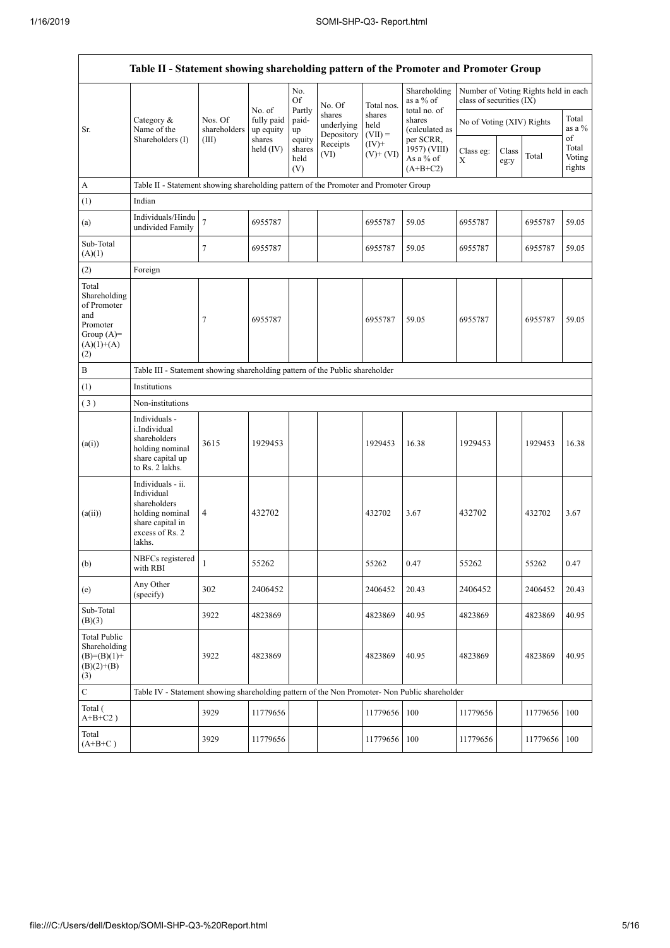$\mathsf{r}$ 

| Table II - Statement showing shareholding pattern of the Promoter and Promoter Group           |                                                                                                                     |                                                                              |                                   |                                 |                                    |                             |                                                      |                           |               |                                      |                                 |  |
|------------------------------------------------------------------------------------------------|---------------------------------------------------------------------------------------------------------------------|------------------------------------------------------------------------------|-----------------------------------|---------------------------------|------------------------------------|-----------------------------|------------------------------------------------------|---------------------------|---------------|--------------------------------------|---------------------------------|--|
|                                                                                                |                                                                                                                     |                                                                              |                                   | No.<br>Of                       | No. Of                             | Total nos.                  | Shareholding<br>as a % of                            | class of securities (IX)  |               | Number of Voting Rights held in each |                                 |  |
| Sr.                                                                                            | Category &<br>Name of the                                                                                           | Nos. Of<br>shareholders                                                      | No. of<br>fully paid<br>up equity | Partly<br>paid-<br>up           | shares<br>underlying<br>Depository | shares<br>held<br>$(VII) =$ | total no. of<br>shares<br>(calculated as             | No of Voting (XIV) Rights |               |                                      | Total<br>as a %                 |  |
|                                                                                                | Shareholders (I)                                                                                                    | (III)                                                                        | shares<br>held $(IV)$             | equity<br>shares<br>held<br>(V) | Receipts<br>(VI)                   | $(IV)$ +<br>$(V)+(VI)$      | per SCRR.<br>1957) (VIII)<br>As a % of<br>$(A+B+C2)$ | Class eg:<br>X            | Class<br>eg:y | Total                                | of<br>Total<br>Voting<br>rights |  |
| A                                                                                              | Table II - Statement showing shareholding pattern of the Promoter and Promoter Group                                |                                                                              |                                   |                                 |                                    |                             |                                                      |                           |               |                                      |                                 |  |
| (1)                                                                                            | Indian                                                                                                              |                                                                              |                                   |                                 |                                    |                             |                                                      |                           |               |                                      |                                 |  |
| (a)                                                                                            | Individuals/Hindu<br>undivided Family                                                                               | $\overline{\mathcal{I}}$                                                     | 6955787                           |                                 |                                    | 6955787                     | 59.05                                                | 6955787                   |               | 6955787                              | 59.05                           |  |
| Sub-Total<br>(A)(1)                                                                            |                                                                                                                     | $\tau$                                                                       | 6955787                           |                                 |                                    | 6955787                     | 59.05                                                | 6955787                   |               | 6955787                              | 59.05                           |  |
| (2)                                                                                            | Foreign                                                                                                             |                                                                              |                                   |                                 |                                    |                             |                                                      |                           |               |                                      |                                 |  |
| Total<br>Shareholding<br>of Promoter<br>and<br>Promoter<br>Group $(A)=$<br>$(A)(1)+(A)$<br>(2) |                                                                                                                     | $\tau$                                                                       | 6955787                           |                                 |                                    | 6955787                     | 59.05                                                | 6955787                   |               | 6955787                              | 59.05                           |  |
| $\, {\bf B}$                                                                                   |                                                                                                                     | Table III - Statement showing shareholding pattern of the Public shareholder |                                   |                                 |                                    |                             |                                                      |                           |               |                                      |                                 |  |
| (1)                                                                                            | Institutions                                                                                                        |                                                                              |                                   |                                 |                                    |                             |                                                      |                           |               |                                      |                                 |  |
| (3)                                                                                            | Non-institutions                                                                                                    |                                                                              |                                   |                                 |                                    |                             |                                                      |                           |               |                                      |                                 |  |
| (a(i))                                                                                         | Individuals -<br>i.Individual<br>shareholders<br>holding nominal<br>share capital up<br>to Rs. 2 lakhs.             | 3615                                                                         | 1929453                           |                                 |                                    | 1929453                     | 16.38                                                | 1929453                   |               | 1929453                              | 16.38                           |  |
| (a(ii))                                                                                        | Individuals - ii.<br>Individual<br>shareholders<br>holding nominal<br>share capital in<br>excess of Rs. 2<br>lakhs. | $\overline{4}$                                                               | 432702                            |                                 |                                    | 432702                      | 3.67                                                 | 432702                    |               | 432702                               | 3.67                            |  |
| (b)                                                                                            | NBFCs registered<br>with RBI                                                                                        | $\mathbf{1}$                                                                 | 55262                             |                                 |                                    | 55262                       | 0.47                                                 | 55262                     |               | 55262                                | 0.47                            |  |
| (e)                                                                                            | Any Other<br>(specify)                                                                                              | 302                                                                          | 2406452                           |                                 |                                    | 2406452                     | 20.43                                                | 2406452                   |               | 2406452                              | 20.43                           |  |
| Sub-Total<br>(B)(3)                                                                            |                                                                                                                     | 3922                                                                         | 4823869                           |                                 |                                    | 4823869                     | 40.95                                                | 4823869                   |               | 4823869                              | 40.95                           |  |
| <b>Total Public</b><br>Shareholding<br>$(B)=(B)(1)+$<br>$(B)(2)+(B)$<br>(3)                    |                                                                                                                     | 3922                                                                         | 4823869                           |                                 |                                    | 4823869                     | 40.95                                                | 4823869                   |               | 4823869                              | 40.95                           |  |
| $\mathbf C$                                                                                    | Table IV - Statement showing shareholding pattern of the Non Promoter- Non Public shareholder                       |                                                                              |                                   |                                 |                                    |                             |                                                      |                           |               |                                      |                                 |  |
| Total (<br>$A+B+C2$ )                                                                          |                                                                                                                     | 3929                                                                         | 11779656                          |                                 |                                    | 11779656                    | 100                                                  | 11779656                  |               | 11779656                             | 100                             |  |
| Total<br>$(A+B+C)$                                                                             |                                                                                                                     | 3929                                                                         | 11779656                          |                                 |                                    | 11779656                    | 100                                                  | 11779656                  |               | 11779656 100                         |                                 |  |

 $\overline{\phantom{a}}$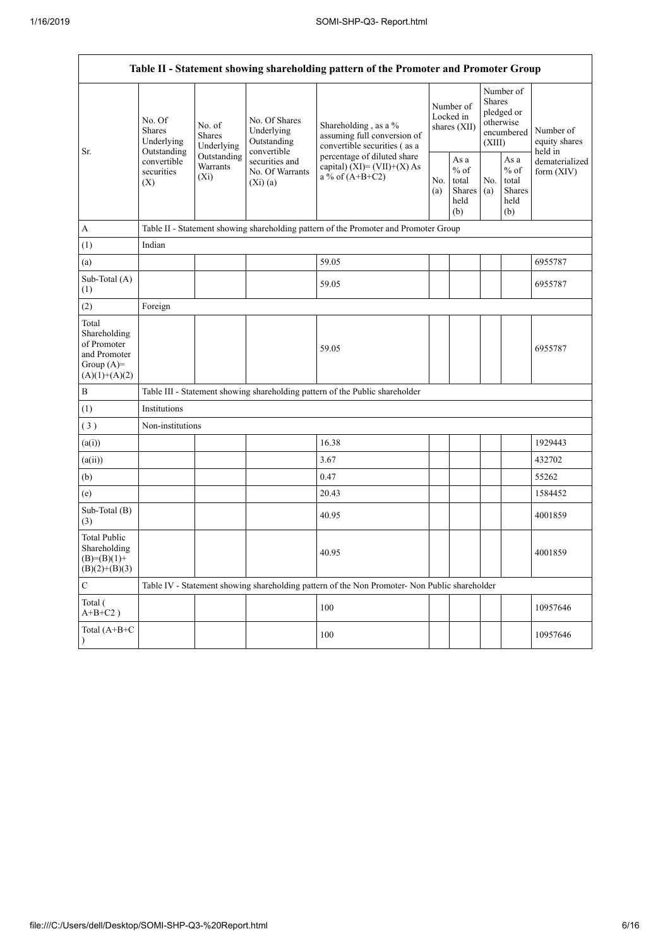| Table II - Statement showing shareholding pattern of the Promoter and Promoter Group    |                                                                                          |                                                                                       |                                                                                                           |                                                                                               |                                        |                                                  |                                                                               |                                                         |                                       |  |  |
|-----------------------------------------------------------------------------------------|------------------------------------------------------------------------------------------|---------------------------------------------------------------------------------------|-----------------------------------------------------------------------------------------------------------|-----------------------------------------------------------------------------------------------|----------------------------------------|--------------------------------------------------|-------------------------------------------------------------------------------|---------------------------------------------------------|---------------------------------------|--|--|
| Sr.                                                                                     | No. Of<br><b>Shares</b><br>Underlying<br>Outstanding<br>convertible<br>securities<br>(X) | No. of<br><b>Shares</b><br>Underlying<br>Outstanding<br>Warrants<br>(X <sub>i</sub> ) | No. Of Shares<br>Underlying<br>Outstanding<br>convertible<br>securities and<br>No. Of Warrants<br>(Xi)(a) | Shareholding, as a %<br>assuming full conversion of<br>convertible securities (as a           | Number of<br>Locked in<br>shares (XII) |                                                  | Number of<br><b>Shares</b><br>pledged or<br>otherwise<br>encumbered<br>(XIII) |                                                         | Number of<br>equity shares<br>held in |  |  |
|                                                                                         |                                                                                          |                                                                                       |                                                                                                           | percentage of diluted share<br>capital) $(XI) = (VII)+(X) As$<br>a % of $(A+B+C2)$            |                                        | As a<br>$%$ of<br>total<br>Shares<br>held<br>(b) | No.<br>(a)                                                                    | As a<br>$%$ of<br>total<br><b>Shares</b><br>held<br>(b) | dematerialized<br>form (XIV)          |  |  |
| A                                                                                       |                                                                                          |                                                                                       |                                                                                                           | Table II - Statement showing shareholding pattern of the Promoter and Promoter Group          |                                        |                                                  |                                                                               |                                                         |                                       |  |  |
| (1)                                                                                     | Indian                                                                                   |                                                                                       |                                                                                                           |                                                                                               |                                        |                                                  |                                                                               |                                                         |                                       |  |  |
| (a)                                                                                     |                                                                                          |                                                                                       |                                                                                                           | 59.05                                                                                         |                                        |                                                  |                                                                               |                                                         | 6955787                               |  |  |
| Sub-Total (A)<br>(1)                                                                    |                                                                                          |                                                                                       |                                                                                                           | 59.05                                                                                         |                                        |                                                  |                                                                               |                                                         | 6955787                               |  |  |
| (2)                                                                                     | Foreign                                                                                  |                                                                                       |                                                                                                           |                                                                                               |                                        |                                                  |                                                                               |                                                         |                                       |  |  |
| Total<br>Shareholding<br>of Promoter<br>and Promoter<br>Group $(A)=$<br>$(A)(1)+(A)(2)$ |                                                                                          |                                                                                       |                                                                                                           | 59.05                                                                                         |                                        |                                                  |                                                                               |                                                         | 6955787                               |  |  |
| B                                                                                       |                                                                                          |                                                                                       |                                                                                                           | Table III - Statement showing shareholding pattern of the Public shareholder                  |                                        |                                                  |                                                                               |                                                         |                                       |  |  |
| (1)                                                                                     | Institutions                                                                             |                                                                                       |                                                                                                           |                                                                                               |                                        |                                                  |                                                                               |                                                         |                                       |  |  |
| (3)                                                                                     | Non-institutions                                                                         |                                                                                       |                                                                                                           |                                                                                               |                                        |                                                  |                                                                               |                                                         |                                       |  |  |
| (a(i))                                                                                  |                                                                                          |                                                                                       |                                                                                                           | 16.38                                                                                         |                                        |                                                  |                                                                               |                                                         | 1929443                               |  |  |
| (a(ii))                                                                                 |                                                                                          |                                                                                       |                                                                                                           | 3.67                                                                                          |                                        |                                                  |                                                                               |                                                         | 432702                                |  |  |
| (b)                                                                                     |                                                                                          |                                                                                       |                                                                                                           | 0.47                                                                                          |                                        |                                                  |                                                                               |                                                         | 55262                                 |  |  |
| (e)                                                                                     |                                                                                          |                                                                                       |                                                                                                           | 20.43                                                                                         |                                        |                                                  |                                                                               |                                                         | 1584452                               |  |  |
| Sub-Total (B)<br>(3)                                                                    |                                                                                          |                                                                                       |                                                                                                           | 40.95                                                                                         |                                        |                                                  |                                                                               |                                                         | 4001859                               |  |  |
| <b>Total Public</b><br>Shareholding<br>$(B)=(B)(1)+$<br>$(B)(2)+(B)(3)$                 |                                                                                          |                                                                                       |                                                                                                           | 40.95                                                                                         |                                        |                                                  |                                                                               |                                                         | 4001859                               |  |  |
| $\mathbf C$                                                                             |                                                                                          |                                                                                       |                                                                                                           | Table IV - Statement showing shareholding pattern of the Non Promoter- Non Public shareholder |                                        |                                                  |                                                                               |                                                         |                                       |  |  |
| Total (<br>$A+B+C2$ )                                                                   |                                                                                          |                                                                                       |                                                                                                           | 100                                                                                           |                                        |                                                  |                                                                               |                                                         | 10957646                              |  |  |
| Total (A+B+C                                                                            |                                                                                          |                                                                                       |                                                                                                           | 100                                                                                           |                                        |                                                  |                                                                               |                                                         | 10957646                              |  |  |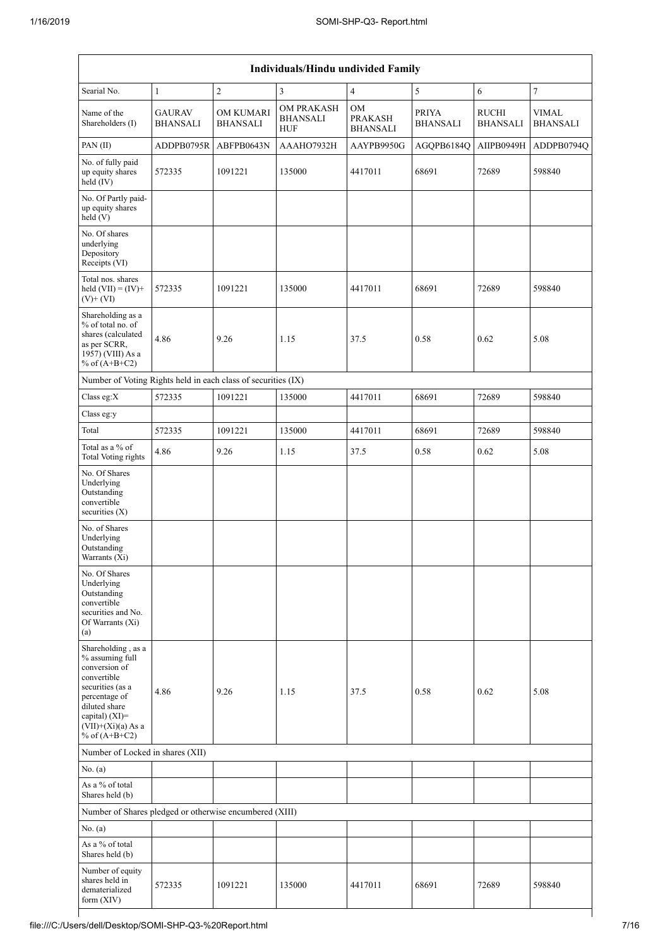| Individuals/Hindu undivided Family                                                                                                                                                       |                                  |                                     |                                             |                                         |                                 |                                 |                                 |  |  |  |
|------------------------------------------------------------------------------------------------------------------------------------------------------------------------------------------|----------------------------------|-------------------------------------|---------------------------------------------|-----------------------------------------|---------------------------------|---------------------------------|---------------------------------|--|--|--|
| Searial No.                                                                                                                                                                              | $\mathbf{1}$                     | $\sqrt{2}$                          | 3                                           | $\overline{4}$                          | 5                               | 6                               | $\tau$                          |  |  |  |
| Name of the<br>Shareholders (I)                                                                                                                                                          | <b>GAURAV</b><br><b>BHANSALI</b> | <b>OM KUMARI</b><br><b>BHANSALI</b> | OM PRAKASH<br><b>BHANSALI</b><br><b>HUF</b> | OM<br><b>PRAKASH</b><br><b>BHANSALI</b> | <b>PRIYA</b><br><b>BHANSALI</b> | <b>RUCHI</b><br><b>BHANSALI</b> | <b>VIMAL</b><br><b>BHANSALI</b> |  |  |  |
| PAN(II)                                                                                                                                                                                  | ADDPB0795R                       | ABFPB0643N                          | AAAHO7932H                                  | AAYPB9950G                              | AGQPB6184Q                      | AIIPB0949H                      | ADDPB0794Q                      |  |  |  |
| No. of fully paid<br>up equity shares<br>held (IV)                                                                                                                                       | 572335                           | 1091221                             | 135000                                      | 4417011                                 | 68691                           | 72689                           | 598840                          |  |  |  |
| No. Of Partly paid-<br>up equity shares<br>held (V)                                                                                                                                      |                                  |                                     |                                             |                                         |                                 |                                 |                                 |  |  |  |
| No. Of shares<br>underlying<br>Depository<br>Receipts (VI)                                                                                                                               |                                  |                                     |                                             |                                         |                                 |                                 |                                 |  |  |  |
| Total nos. shares<br>held $(VII) = (IV) +$<br>$(V)$ + $(VI)$                                                                                                                             | 572335                           | 1091221                             | 135000                                      | 4417011                                 | 68691                           | 72689                           | 598840                          |  |  |  |
| Shareholding as a<br>% of total no. of<br>shares (calculated<br>as per SCRR,<br>1957) (VIII) As a<br>% of $(A+B+C2)$                                                                     | 4.86                             | 9.26                                | 1.15                                        | 37.5                                    | 0.58                            | 0.62                            | 5.08                            |  |  |  |
| Number of Voting Rights held in each class of securities (IX)                                                                                                                            |                                  |                                     |                                             |                                         |                                 |                                 |                                 |  |  |  |
| Class eg:X                                                                                                                                                                               | 572335                           | 1091221                             | 135000                                      | 4417011                                 | 68691                           | 72689                           | 598840                          |  |  |  |
| Class eg:y                                                                                                                                                                               |                                  |                                     |                                             |                                         |                                 |                                 |                                 |  |  |  |
| Total                                                                                                                                                                                    | 572335                           | 1091221                             | 135000                                      | 4417011                                 | 68691                           | 72689                           | 598840                          |  |  |  |
| Total as a % of<br><b>Total Voting rights</b>                                                                                                                                            | 4.86                             | 9.26                                | 1.15                                        | 37.5                                    | 0.58                            | 0.62                            | 5.08                            |  |  |  |
| No. Of Shares<br>Underlying<br>Outstanding<br>convertible<br>securities $(X)$                                                                                                            |                                  |                                     |                                             |                                         |                                 |                                 |                                 |  |  |  |
| No. of Shares<br>Underlying<br>Outstanding<br>Warrants (Xi)                                                                                                                              |                                  |                                     |                                             |                                         |                                 |                                 |                                 |  |  |  |
| No. Of Shares<br>Underlying<br>Outstanding<br>convertible<br>securities and No.<br>Of Warrants (Xi)<br>(a)                                                                               |                                  |                                     |                                             |                                         |                                 |                                 |                                 |  |  |  |
| Shareholding, as a<br>% assuming full<br>conversion of<br>convertible<br>securities (as a<br>percentage of<br>diluted share<br>capital) (XI)=<br>$(VII)+(Xi)(a)$ As a<br>% of $(A+B+C2)$ | 4.86                             | 9.26                                | 1.15                                        | 37.5                                    | 0.58                            | 0.62                            | 5.08                            |  |  |  |
| Number of Locked in shares (XII)                                                                                                                                                         |                                  |                                     |                                             |                                         |                                 |                                 |                                 |  |  |  |
| No. (a)                                                                                                                                                                                  |                                  |                                     |                                             |                                         |                                 |                                 |                                 |  |  |  |
| As a % of total<br>Shares held (b)                                                                                                                                                       |                                  |                                     |                                             |                                         |                                 |                                 |                                 |  |  |  |
| Number of Shares pledged or otherwise encumbered (XIII)                                                                                                                                  |                                  |                                     |                                             |                                         |                                 |                                 |                                 |  |  |  |
| No. (a)                                                                                                                                                                                  |                                  |                                     |                                             |                                         |                                 |                                 |                                 |  |  |  |
| As a % of total<br>Shares held (b)                                                                                                                                                       |                                  |                                     |                                             |                                         |                                 |                                 |                                 |  |  |  |
| Number of equity<br>shares held in<br>dematerialized<br>form (XIV)                                                                                                                       | 572335                           | 1091221                             | 135000                                      | 4417011                                 | 68691                           | 72689                           | 598840                          |  |  |  |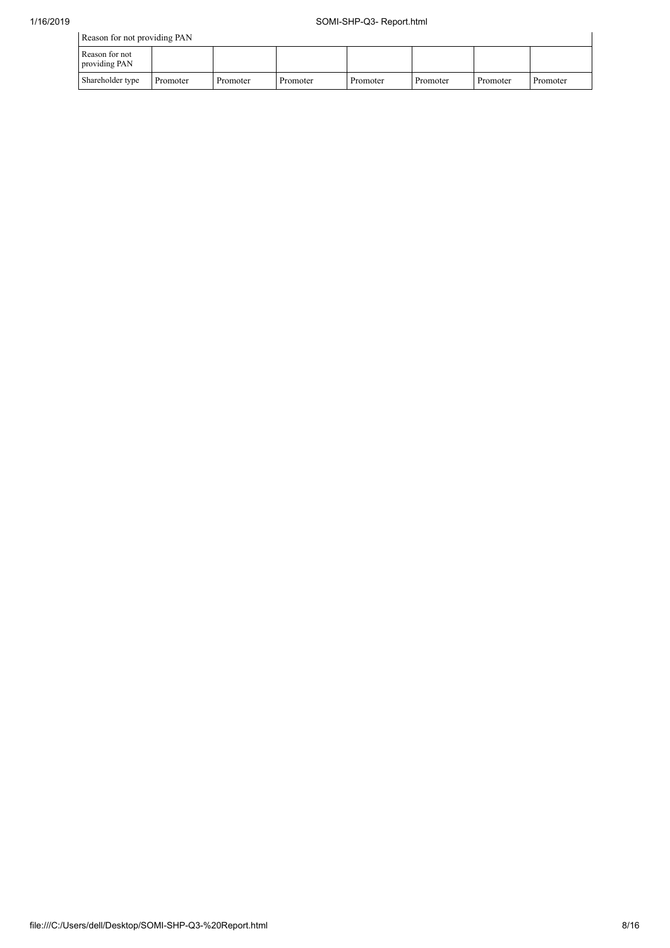| Reason for not providing PAN    |          |          |          |          |          |          |          |  |  |  |
|---------------------------------|----------|----------|----------|----------|----------|----------|----------|--|--|--|
| Reason for not<br>providing PAN |          |          |          |          |          |          |          |  |  |  |
| Shareholder type                | Promoter | Promoter | Promoter | Promoter | Promoter | Promoter | Promoter |  |  |  |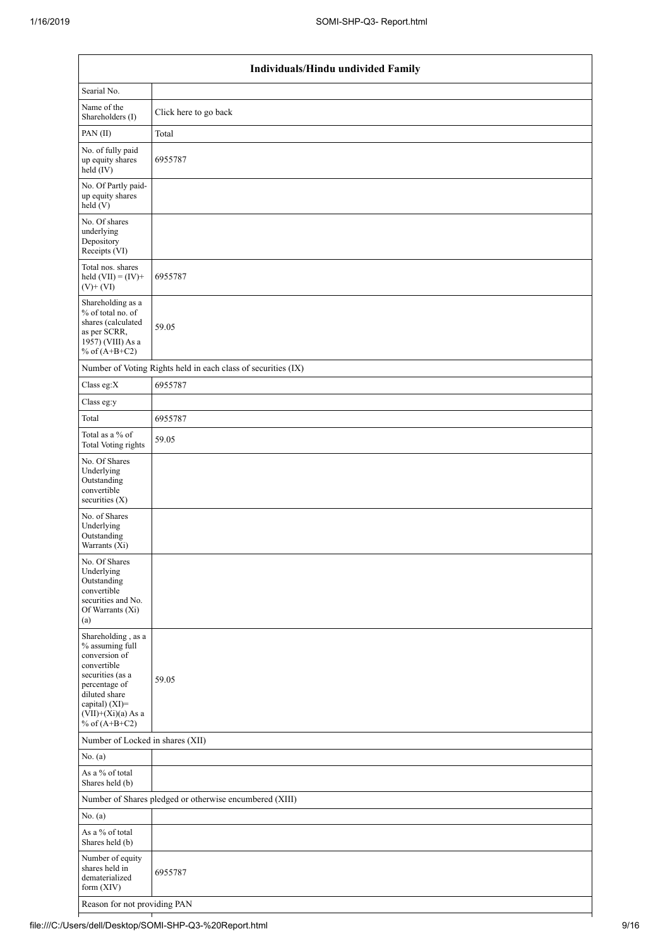| Individuals/Hindu undivided Family                                                                                                                                                       |                                                               |  |  |  |  |  |  |  |
|------------------------------------------------------------------------------------------------------------------------------------------------------------------------------------------|---------------------------------------------------------------|--|--|--|--|--|--|--|
| Searial No.                                                                                                                                                                              |                                                               |  |  |  |  |  |  |  |
| Name of the<br>Shareholders (I)                                                                                                                                                          | Click here to go back                                         |  |  |  |  |  |  |  |
| PAN(II)                                                                                                                                                                                  | Total                                                         |  |  |  |  |  |  |  |
| No. of fully paid<br>up equity shares<br>$\text{held} (IV)$                                                                                                                              | 6955787                                                       |  |  |  |  |  |  |  |
| No. Of Partly paid-<br>up equity shares<br>held (V)                                                                                                                                      |                                                               |  |  |  |  |  |  |  |
| No. Of shares<br>underlying<br>Depository<br>Receipts (VI)                                                                                                                               |                                                               |  |  |  |  |  |  |  |
| Total nos. shares<br>held $(VII) = (IV) +$<br>$(V)$ + $(VI)$                                                                                                                             | 6955787                                                       |  |  |  |  |  |  |  |
| Shareholding as a<br>% of total no. of<br>shares (calculated<br>as per SCRR,<br>1957) (VIII) As a<br>% of $(A+B+C2)$                                                                     | 59.05                                                         |  |  |  |  |  |  |  |
|                                                                                                                                                                                          | Number of Voting Rights held in each class of securities (IX) |  |  |  |  |  |  |  |
| Class eg:X                                                                                                                                                                               | 6955787                                                       |  |  |  |  |  |  |  |
| Class eg:y                                                                                                                                                                               |                                                               |  |  |  |  |  |  |  |
| Total                                                                                                                                                                                    | 6955787                                                       |  |  |  |  |  |  |  |
| Total as a % of<br><b>Total Voting rights</b>                                                                                                                                            | 59.05                                                         |  |  |  |  |  |  |  |
| No. Of Shares<br>Underlying<br>Outstanding<br>convertible<br>securities (X)                                                                                                              |                                                               |  |  |  |  |  |  |  |
| No. of Shares<br>Underlying<br>Outstanding<br>Warrants (Xi)                                                                                                                              |                                                               |  |  |  |  |  |  |  |
| No. Of Shares<br>Underlying<br>Outstanding<br>convertible<br>securities and No.<br>Of Warrants (Xi)<br>(a)                                                                               |                                                               |  |  |  |  |  |  |  |
| Shareholding, as a<br>% assuming full<br>conversion of<br>convertible<br>securities (as a<br>percentage of<br>diluted share<br>capital) (XI)=<br>$(VII)+(Xi)(a)$ As a<br>% of $(A+B+C2)$ | 59.05                                                         |  |  |  |  |  |  |  |
| Number of Locked in shares (XII)                                                                                                                                                         |                                                               |  |  |  |  |  |  |  |
| No. (a)                                                                                                                                                                                  |                                                               |  |  |  |  |  |  |  |
| As a % of total<br>Shares held (b)                                                                                                                                                       |                                                               |  |  |  |  |  |  |  |
|                                                                                                                                                                                          | Number of Shares pledged or otherwise encumbered (XIII)       |  |  |  |  |  |  |  |
| No. (a)                                                                                                                                                                                  |                                                               |  |  |  |  |  |  |  |
| As a % of total<br>Shares held (b)                                                                                                                                                       |                                                               |  |  |  |  |  |  |  |
| Number of equity<br>shares held in<br>dematerialized<br>form (XIV)                                                                                                                       | 6955787                                                       |  |  |  |  |  |  |  |
| Reason for not providing PAN                                                                                                                                                             |                                                               |  |  |  |  |  |  |  |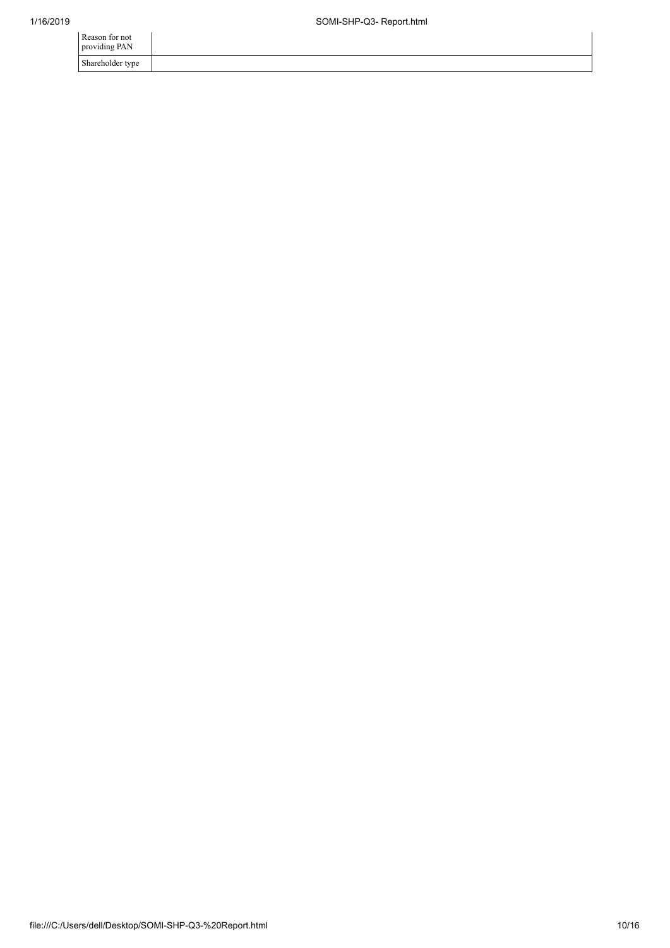| Reason for not<br>providing PAN |  |
|---------------------------------|--|
| Shareholder type                |  |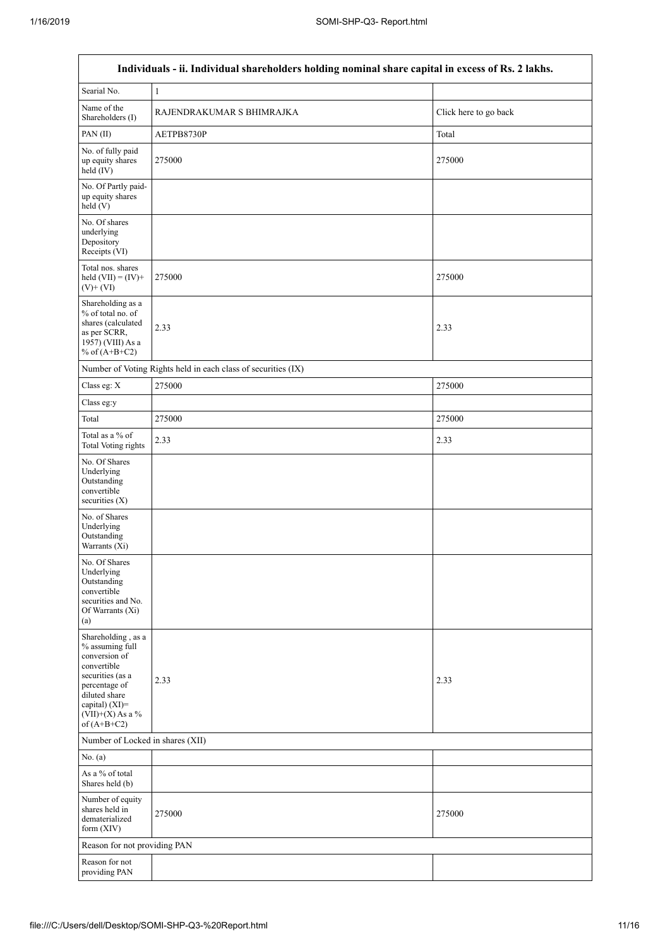$\overline{1}$ 

| Individuals - ii. Individual shareholders holding nominal share capital in excess of Rs. 2 lakhs.                                                                                    |                                                               |                       |  |  |  |  |  |  |  |
|--------------------------------------------------------------------------------------------------------------------------------------------------------------------------------------|---------------------------------------------------------------|-----------------------|--|--|--|--|--|--|--|
| Searial No.                                                                                                                                                                          | $\mathbf{1}$                                                  |                       |  |  |  |  |  |  |  |
| Name of the<br>Shareholders (I)                                                                                                                                                      | RAJENDRAKUMAR S BHIMRAJKA                                     | Click here to go back |  |  |  |  |  |  |  |
| PAN(II)                                                                                                                                                                              | AETPB8730P                                                    | Total                 |  |  |  |  |  |  |  |
| No. of fully paid<br>up equity shares<br>held (IV)                                                                                                                                   | 275000                                                        | 275000                |  |  |  |  |  |  |  |
| No. Of Partly paid-<br>up equity shares<br>held (V)                                                                                                                                  |                                                               |                       |  |  |  |  |  |  |  |
| No. Of shares<br>underlying<br>Depository<br>Receipts (VI)                                                                                                                           |                                                               |                       |  |  |  |  |  |  |  |
| Total nos. shares<br>held $(VII) = (IV) +$<br>$(V)$ + $(VI)$                                                                                                                         | 275000                                                        | 275000                |  |  |  |  |  |  |  |
| Shareholding as a<br>% of total no. of<br>shares (calculated<br>as per SCRR,<br>1957) (VIII) As a<br>% of $(A+B+C2)$                                                                 | 2.33                                                          | 2.33                  |  |  |  |  |  |  |  |
|                                                                                                                                                                                      | Number of Voting Rights held in each class of securities (IX) |                       |  |  |  |  |  |  |  |
| Class eg: X                                                                                                                                                                          | 275000                                                        | 275000                |  |  |  |  |  |  |  |
| Class eg:y                                                                                                                                                                           |                                                               |                       |  |  |  |  |  |  |  |
| Total                                                                                                                                                                                | 275000                                                        | 275000                |  |  |  |  |  |  |  |
| Total as a % of<br><b>Total Voting rights</b>                                                                                                                                        | 2.33                                                          | 2.33                  |  |  |  |  |  |  |  |
| No. Of Shares<br>Underlying<br>Outstanding<br>convertible<br>securities $(X)$                                                                                                        |                                                               |                       |  |  |  |  |  |  |  |
| No. of Shares<br>Underlying<br>Outstanding<br>Warrants (Xi)                                                                                                                          |                                                               |                       |  |  |  |  |  |  |  |
| No. Of Shares<br>Underlying<br>Outstanding<br>convertible<br>securities and No.<br>Of Warrants (Xi)<br>(a)                                                                           |                                                               |                       |  |  |  |  |  |  |  |
| Shareholding, as a<br>% assuming full<br>conversion of<br>convertible<br>securities (as a<br>percentage of<br>diluted share<br>capital) (XI)=<br>$(VII)+(X)$ As a %<br>of $(A+B+C2)$ | 2.33                                                          | 2.33                  |  |  |  |  |  |  |  |
| Number of Locked in shares (XII)                                                                                                                                                     |                                                               |                       |  |  |  |  |  |  |  |
| No. (a)                                                                                                                                                                              |                                                               |                       |  |  |  |  |  |  |  |
| As a % of total<br>Shares held (b)                                                                                                                                                   |                                                               |                       |  |  |  |  |  |  |  |
| Number of equity<br>shares held in<br>dematerialized<br>form $(XIV)$                                                                                                                 | 275000                                                        | 275000                |  |  |  |  |  |  |  |
| Reason for not providing PAN                                                                                                                                                         |                                                               |                       |  |  |  |  |  |  |  |
| Reason for not<br>providing PAN                                                                                                                                                      |                                                               |                       |  |  |  |  |  |  |  |

٦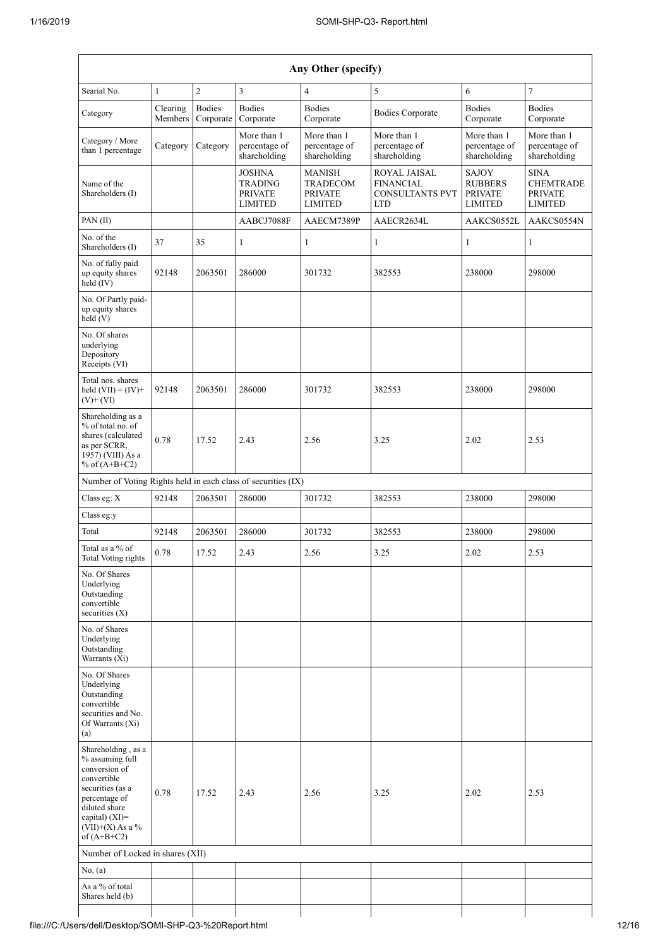| Any Other (specify)                                                                                                                                                                  |                     |                            |                                                              |                                                        |                                                                                 |                                                      |                                                                     |  |  |  |  |
|--------------------------------------------------------------------------------------------------------------------------------------------------------------------------------------|---------------------|----------------------------|--------------------------------------------------------------|--------------------------------------------------------|---------------------------------------------------------------------------------|------------------------------------------------------|---------------------------------------------------------------------|--|--|--|--|
| Searial No.                                                                                                                                                                          | $\mathbf{1}$        | $\sqrt{2}$                 | 3                                                            | 4                                                      | 5                                                                               | 6                                                    | $\boldsymbol{7}$                                                    |  |  |  |  |
| Category                                                                                                                                                                             | Clearing<br>Members | <b>Bodies</b><br>Corporate | <b>Bodies</b><br>Corporate                                   | <b>Bodies</b><br>Corporate                             | <b>Bodies Corporate</b>                                                         | <b>Bodies</b><br>Corporate                           | <b>Bodies</b><br>Corporate                                          |  |  |  |  |
| Category / More<br>than 1 percentage                                                                                                                                                 | Category            | Category                   | More than 1<br>percentage of<br>shareholding                 | More than 1<br>percentage of<br>shareholding           | More than 1<br>percentage of<br>shareholding                                    | More than 1<br>percentage of<br>shareholding         | More than 1<br>percentage of<br>shareholding                        |  |  |  |  |
| Name of the<br>Shareholders (I)                                                                                                                                                      |                     |                            | <b>JOSHNA</b><br><b>TRADING</b><br><b>PRIVATE</b><br>LIMITED | <b>MANISH</b><br>TRADECOM<br><b>PRIVATE</b><br>LIMITED | <b>ROYAL JAISAL</b><br><b>FINANCIAL</b><br><b>CONSULTANTS PVT</b><br><b>LTD</b> | SAJOY<br><b>RUBBERS</b><br><b>PRIVATE</b><br>LIMITED | <b>SINA</b><br><b>CHEMTRADE</b><br><b>PRIVATE</b><br><b>LIMITED</b> |  |  |  |  |
| PAN(II)                                                                                                                                                                              |                     |                            | AABCJ7088F                                                   | AAECM7389P                                             | AAECR2634L                                                                      | AAKCS0552L                                           | AAKCS0554N                                                          |  |  |  |  |
| No. of the<br>Shareholders (I)                                                                                                                                                       | 37                  | 35                         | 1                                                            | 1                                                      | $\mathbf{1}$                                                                    | 1                                                    | $\mathbf{1}$                                                        |  |  |  |  |
| No. of fully paid<br>up equity shares<br>held $(IV)$                                                                                                                                 | 92148               | 2063501                    | 286000                                                       | 301732                                                 | 382553                                                                          | 238000                                               | 298000                                                              |  |  |  |  |
| No. Of Partly paid-<br>up equity shares<br>held (V)                                                                                                                                  |                     |                            |                                                              |                                                        |                                                                                 |                                                      |                                                                     |  |  |  |  |
| No. Of shares<br>underlying<br>Depository<br>Receipts (VI)                                                                                                                           |                     |                            |                                                              |                                                        |                                                                                 |                                                      |                                                                     |  |  |  |  |
| Total nos, shares<br>held $(VII) = (IV) +$<br>$(V)+(VI)$                                                                                                                             | 92148               | 2063501                    | 286000                                                       | 301732                                                 | 382553                                                                          | 238000                                               | 298000                                                              |  |  |  |  |
| Shareholding as a<br>% of total no. of<br>shares (calculated<br>as per SCRR,<br>1957) (VIII) As a<br>% of $(A+B+C2)$                                                                 | 0.78                | 17.52                      | 2.43                                                         | 2.56                                                   | 3.25                                                                            | 2.02                                                 | 2.53                                                                |  |  |  |  |
| Number of Voting Rights held in each class of securities (IX)                                                                                                                        |                     |                            |                                                              |                                                        |                                                                                 |                                                      |                                                                     |  |  |  |  |
| Class eg: X                                                                                                                                                                          | 92148               | 2063501                    | 286000                                                       | 301732                                                 | 382553                                                                          | 238000                                               | 298000                                                              |  |  |  |  |
| Class eg:y                                                                                                                                                                           |                     |                            |                                                              |                                                        |                                                                                 |                                                      |                                                                     |  |  |  |  |
| Total                                                                                                                                                                                | 92148               | 2063501                    | 286000                                                       | 301732                                                 | 382553                                                                          | 238000                                               | 298000                                                              |  |  |  |  |
| Total as a $\%$ of<br>Total Voting rights                                                                                                                                            | 0.78                | 17.52                      | 2.43                                                         | 2.56                                                   | 3.25                                                                            | 2.02                                                 | 2.53                                                                |  |  |  |  |
| No. Of Shares<br>Underlying<br>Outstanding<br>convertible<br>securities $(X)$                                                                                                        |                     |                            |                                                              |                                                        |                                                                                 |                                                      |                                                                     |  |  |  |  |
| No. of Shares<br>Underlying<br>Outstanding<br>Warrants (Xi)                                                                                                                          |                     |                            |                                                              |                                                        |                                                                                 |                                                      |                                                                     |  |  |  |  |
| No. Of Shares<br>Underlying<br>Outstanding<br>convertible<br>securities and No.<br>Of Warrants (Xi)<br>(a)                                                                           |                     |                            |                                                              |                                                        |                                                                                 |                                                      |                                                                     |  |  |  |  |
| Shareholding, as a<br>% assuming full<br>conversion of<br>convertible<br>securities (as a<br>percentage of<br>diluted share<br>capital) (XI)=<br>$(VII)+(X)$ As a %<br>of $(A+B+C2)$ | 0.78                | 17.52                      | 2.43                                                         | 2.56                                                   | 3.25                                                                            | 2.02                                                 | 2.53                                                                |  |  |  |  |
| Number of Locked in shares (XII)                                                                                                                                                     |                     |                            |                                                              |                                                        |                                                                                 |                                                      |                                                                     |  |  |  |  |
| No. (a)                                                                                                                                                                              |                     |                            |                                                              |                                                        |                                                                                 |                                                      |                                                                     |  |  |  |  |
| As a % of total<br>Shares held (b)                                                                                                                                                   |                     |                            |                                                              |                                                        |                                                                                 |                                                      |                                                                     |  |  |  |  |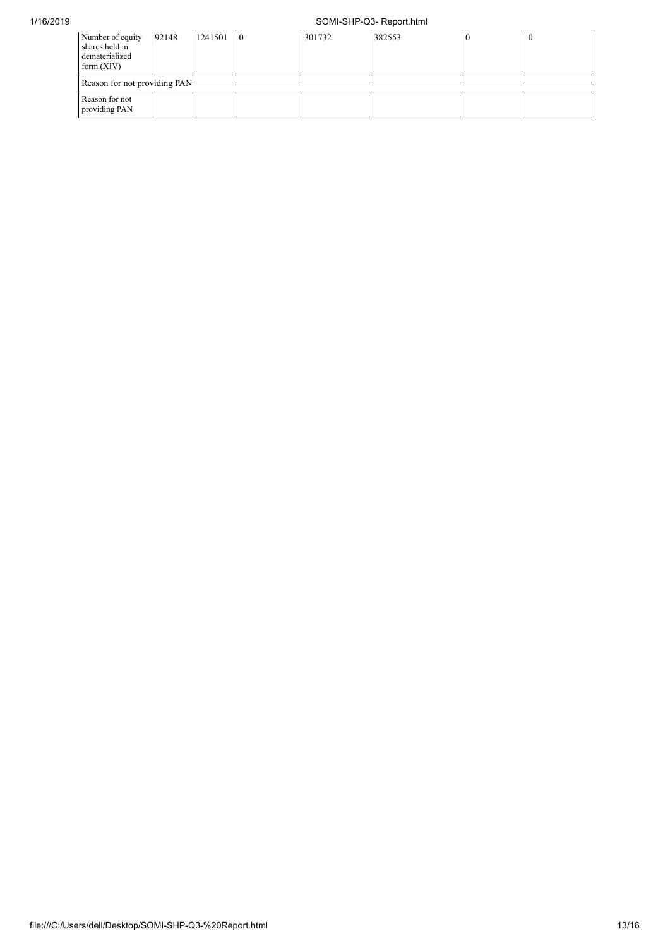## 1/16/2019 SOMI-SHP-Q3- Report.html

| Number of equity<br>shares held in<br>dematerialized<br>form $(XIV)$ | 92148 | 1241501 | $\overline{0}$ | 301732 | 382553 |  |  |  |
|----------------------------------------------------------------------|-------|---------|----------------|--------|--------|--|--|--|
| Reason for not providing PAN                                         |       |         |                |        |        |  |  |  |
| Reason for not<br>providing PAN                                      |       |         |                |        |        |  |  |  |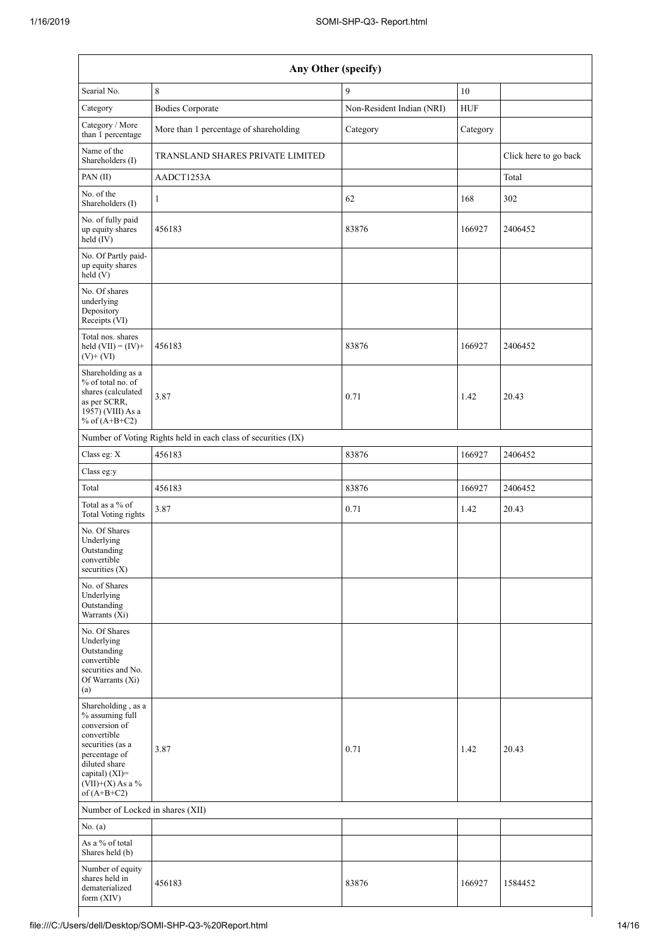| Any Other (specify)                                                                                                                                                                     |                                                               |                           |            |                       |  |  |  |
|-----------------------------------------------------------------------------------------------------------------------------------------------------------------------------------------|---------------------------------------------------------------|---------------------------|------------|-----------------------|--|--|--|
| Searial No.                                                                                                                                                                             | $\,8\,$                                                       | 9                         |            |                       |  |  |  |
| Category                                                                                                                                                                                | <b>Bodies Corporate</b>                                       | Non-Resident Indian (NRI) | <b>HUF</b> |                       |  |  |  |
| Category / More<br>than 1 percentage                                                                                                                                                    | More than 1 percentage of shareholding                        | Category                  | Category   |                       |  |  |  |
| Name of the<br>Shareholders (I)                                                                                                                                                         | TRANSLAND SHARES PRIVATE LIMITED                              |                           |            | Click here to go back |  |  |  |
| PAN(II)                                                                                                                                                                                 | AADCT1253A                                                    |                           |            | Total                 |  |  |  |
| No. of the<br>Shareholders (I)                                                                                                                                                          | 1                                                             | 62                        | 168        | 302                   |  |  |  |
| No. of fully paid<br>up equity shares<br>$\text{held} (IV)$                                                                                                                             | 456183                                                        | 83876                     | 166927     | 2406452               |  |  |  |
| No. Of Partly paid-<br>up equity shares<br>held(V)                                                                                                                                      |                                                               |                           |            |                       |  |  |  |
| No. Of shares<br>underlying<br>Depository<br>Receipts (VI)                                                                                                                              |                                                               |                           |            |                       |  |  |  |
| Total nos. shares<br>held $(VII) = (IV) +$<br>$(V)$ + $(VI)$                                                                                                                            | 456183                                                        | 83876                     | 166927     | 2406452               |  |  |  |
| Shareholding as a<br>% of total no. of<br>shares (calculated<br>as per SCRR,<br>1957) (VIII) As a<br>% of $(A+B+C2)$                                                                    | 3.87                                                          | 0.71                      | 1.42       | 20.43                 |  |  |  |
|                                                                                                                                                                                         | Number of Voting Rights held in each class of securities (IX) |                           |            |                       |  |  |  |
| Class eg: X                                                                                                                                                                             | 456183                                                        | 83876                     | 166927     | 2406452               |  |  |  |
| Class eg:y                                                                                                                                                                              |                                                               |                           |            |                       |  |  |  |
| Total                                                                                                                                                                                   | 456183                                                        | 83876                     | 166927     | 2406452               |  |  |  |
| Total as a % of<br><b>Total Voting rights</b>                                                                                                                                           | 3.87                                                          | 0.71                      | 1.42       | 20.43                 |  |  |  |
| No. Of Shares<br>Underlying<br>Outstanding<br>convertible<br>securities $(X)$                                                                                                           |                                                               |                           |            |                       |  |  |  |
| No. of Shares<br>Underlying<br>Outstanding<br>Warrants (Xi)                                                                                                                             |                                                               |                           |            |                       |  |  |  |
| No. Of Shares<br>Underlying<br>Outstanding<br>convertible<br>securities and No.<br>Of Warrants (Xi)<br>(a)                                                                              |                                                               |                           |            |                       |  |  |  |
| Shareholding, as a<br>% assuming full<br>conversion of<br>convertible<br>securities (as a<br>percentage of<br>diluted share<br>capital) $(XI)$ =<br>$(VII)+(X)$ As a %<br>of $(A+B+C2)$ | 3.87                                                          | 0.71                      | 1.42       | 20.43                 |  |  |  |
| Number of Locked in shares (XII)                                                                                                                                                        |                                                               |                           |            |                       |  |  |  |
| No. $(a)$                                                                                                                                                                               |                                                               |                           |            |                       |  |  |  |
| As a % of total<br>Shares held (b)                                                                                                                                                      |                                                               |                           |            |                       |  |  |  |
| Number of equity<br>shares held in<br>dematerialized<br>form (XIV)                                                                                                                      | 456183                                                        | 83876                     | 166927     | 1584452               |  |  |  |